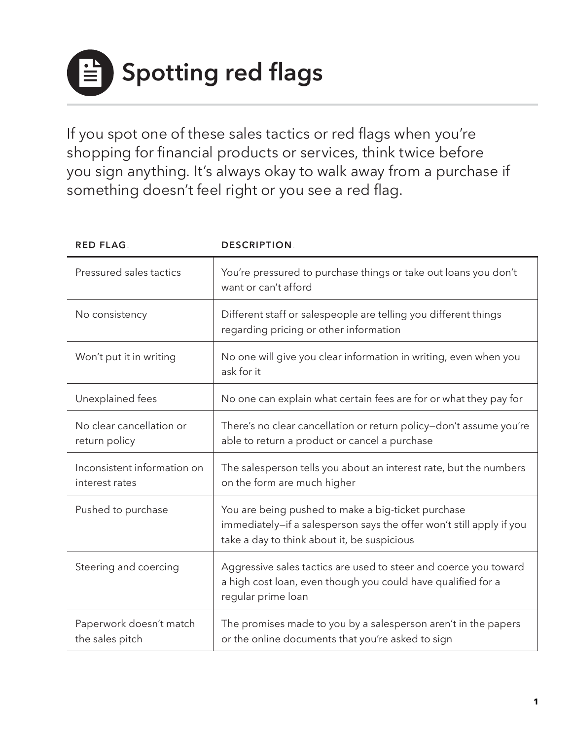**Spotting red flags**.

If you spot one of these sales tactics or red flags when you're shopping for financial products or services, think twice before you sign anything. It's always okay to walk away from a purchase if something doesn't feel right or you see a red flag.

| <b>RED FLAG</b>                               | <b>DESCRIPTION</b>                                                                                                                                                        |
|-----------------------------------------------|---------------------------------------------------------------------------------------------------------------------------------------------------------------------------|
| Pressured sales tactics                       | You're pressured to purchase things or take out loans you don't<br>want or can't afford                                                                                   |
| No consistency                                | Different staff or salespeople are telling you different things<br>regarding pricing or other information                                                                 |
| Won't put it in writing                       | No one will give you clear information in writing, even when you<br>ask for it                                                                                            |
| Unexplained fees                              | No one can explain what certain fees are for or what they pay for                                                                                                         |
| No clear cancellation or<br>return policy     | There's no clear cancellation or return policy-don't assume you're<br>able to return a product or cancel a purchase                                                       |
| Inconsistent information on<br>interest rates | The salesperson tells you about an interest rate, but the numbers<br>on the form are much higher                                                                          |
| Pushed to purchase                            | You are being pushed to make a big-ticket purchase<br>immediately-if a salesperson says the offer won't still apply if you<br>take a day to think about it, be suspicious |
| Steering and coercing                         | Aggressive sales tactics are used to steer and coerce you toward<br>a high cost loan, even though you could have qualified for a<br>regular prime loan                    |
| Paperwork doesn't match<br>the sales pitch    | The promises made to you by a salesperson aren't in the papers<br>or the online documents that you're asked to sign                                                       |